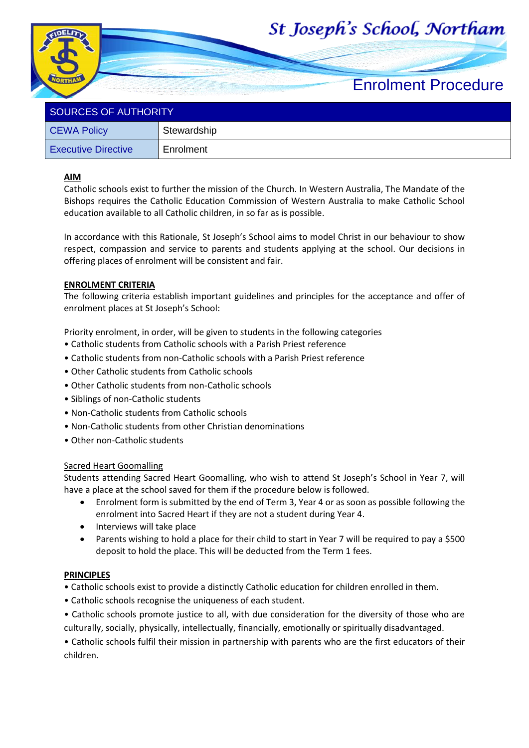# St Joseph's School, Northam



| ו ווטושו שו יש שבטוסטים    |             |  |
|----------------------------|-------------|--|
| <b>CEWA Policy</b>         | Stewardship |  |
| <b>Executive Directive</b> | Enrolment   |  |

## **AIM**

Catholic schools exist to further the mission of the Church. In Western Australia, The Mandate of the Bishops requires the Catholic Education Commission of Western Australia to make Catholic School education available to all Catholic children, in so far as is possible.

In accordance with this Rationale, St Joseph's School aims to model Christ in our behaviour to show respect, compassion and service to parents and students applying at the school. Our decisions in offering places of enrolment will be consistent and fair.

### **ENROLMENT CRITERIA**

The following criteria establish important guidelines and principles for the acceptance and offer of enrolment places at St Joseph's School:

Priority enrolment, in order, will be given to students in the following categories

- Catholic students from Catholic schools with a Parish Priest reference
- Catholic students from non-Catholic schools with a Parish Priest reference
- Other Catholic students from Catholic schools
- Other Catholic students from non-Catholic schools
- Siblings of non-Catholic students
- Non-Catholic students from Catholic schools
- Non-Catholic students from other Christian denominations
- Other non-Catholic students

#### Sacred Heart Goomalling

Students attending Sacred Heart Goomalling, who wish to attend St Joseph's School in Year 7, will have a place at the school saved for them if the procedure below is followed.

- Enrolment form is submitted by the end of Term 3, Year 4 or as soon as possible following the enrolment into Sacred Heart if they are not a student during Year 4.
- Interviews will take place
- Parents wishing to hold a place for their child to start in Year 7 will be required to pay a \$500 deposit to hold the place. This will be deducted from the Term 1 fees.

#### **PRINCIPLES**

• Catholic schools exist to provide a distinctly Catholic education for children enrolled in them.

- Catholic schools recognise the uniqueness of each student.
- Catholic schools promote justice to all, with due consideration for the diversity of those who are culturally, socially, physically, intellectually, financially, emotionally or spiritually disadvantaged.

• Catholic schools fulfil their mission in partnership with parents who are the first educators of their children.